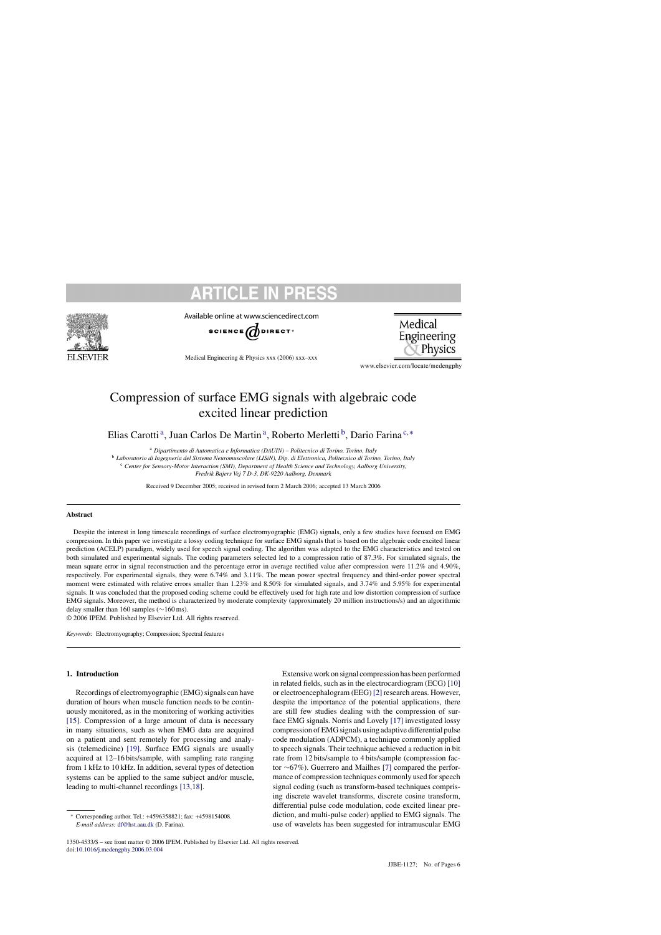

Available online at www.sciencedirect.com



Medical Engineering & Physics xxx (2006) xxx–xxx

Medical Engineering Physics

www.elsevier.com/locate/medengphy

# Compression of surface EMG signals with algebraic code excited linear prediction

Elias Carotti<sup>a</sup>, Juan Carlos De Martin<sup>a</sup>, Roberto Merletti<sup>b</sup>, Dario Farina<sup>c,\*</sup>

<sup>a</sup> *Dipartimento di Automatica e Informatica (DAUIN) – Politecnico di Torino, Torino, Italy*

<sup>b</sup> *Laboratorio di Ingegneria del Sistema Neuromuscolare (LISiN), Dip. di Elettronica, Politecnico di Torino, Torino, Italy*

<sup>c</sup> *Center for Sensory-Motor Interaction (SMI), Department of Health Science and Technology, Aalborg University,*

*Fredrik Bajers Vej 7 D-3, DK-9220 Aalborg, Denmark*

Received 9 December 2005; received in revised form 2 March 2006; accepted 13 March 2006

## **Abstract**

Despite the interest in long timescale recordings of surface electromyographic (EMG) signals, only a few studies have focused on EMG compression. In this paper we investigate a lossy coding technique for surface EMG signals that is based on the algebraic code excited linear prediction (ACELP) paradigm, widely used for speech signal coding. The algorithm was adapted to the EMG characteristics and tested on both simulated and experimental signals. The coding parameters selected led to a compression ratio of 87.3%. For simulated signals, the mean square error in signal reconstruction and the percentage error in average rectified value after compression were 11.2% and 4.90%, respectively. For experimental signals, they were 6.74% and 3.11%. The mean power spectral frequency and third-order power spectral moment were estimated with relative errors smaller than 1.23% and 8.50% for simulated signals, and 3.74% and 5.95% for experimental signals. It was concluded that the proposed coding scheme could be effectively used for high rate and low distortion compression of surface EMG signals. Moreover, the method is characterized by moderate complexity (approximately 20 million instructions/s) and an algorithmic delay smaller than 160 samples (∼160 ms).

© 2006 IPEM. Published by Elsevier Ltd. All rights reserved.

*Keywords:* Electromyography; Compression; Spectral features

# **1. Introduction**

Recordings of electromyographic (EMG) signals can have duration of hours when muscle function needs to be continuously monitored, as in the monitoring of working activities [\[15\].](#page-4-0) Compression of a large amount of data is necessary in many situations, such as when EMG data are acquired on a patient and sent remotely for processing and analysis (telemedicine) [\[19\].](#page-5-0) Surface EMG signals are usually acquired at 12–16 bits/sample, with sampling rate ranging from 1 kHz to 10 kHz. In addition, several types of detection systems can be applied to the same subject and/or muscle. leading to multi-channel recordings [\[13,18\].](#page-4-0)

Extensive work on signal compression has been performed in related fields, such as in the electrocardiogram (ECG) [\[10\]](#page-4-0) or electroencephalogram (EEG) [\[2\]](#page-4-0) research areas. However, despite the importance of the potential applications, there are still few studies dealing with the compression of surface EMG signals. Norris and Lovely [\[17\]](#page-5-0) investigated lossy compression of EMG signals using adaptive differential pulse code modulation (ADPCM), a technique commonly applied to speech signals. Their technique achieved a reduction in bit rate from 12 bits/sample to 4 bits/sample (compression factor ∼67%). Guerrero and Mailhes [\[7\]](#page-4-0) compared the performance of compression techniques commonly used for speech signal coding (such as transform-based techniques comprising discrete wavelet transforms, discrete cosine transform, differential pulse code modulation, code excited linear prediction, and multi-pulse coder) applied to EMG signals. The use of wavelets has been suggested for intramuscular EMG

<sup>∗</sup> Corresponding author. Tel.: +4596358821; fax: +4598154008. *E-mail address:* [df@hst.aau.dk](mailto:df@hst.aau.dk) (D. Farina).

<sup>1350-4533/\$ –</sup> see front matter © 2006 IPEM. Published by Elsevier Ltd. All rights reserved. doi[:10.1016/j.medengphy.2006.03.004](dx.doi.org/10.1016/j.medengphy.2006.03.004)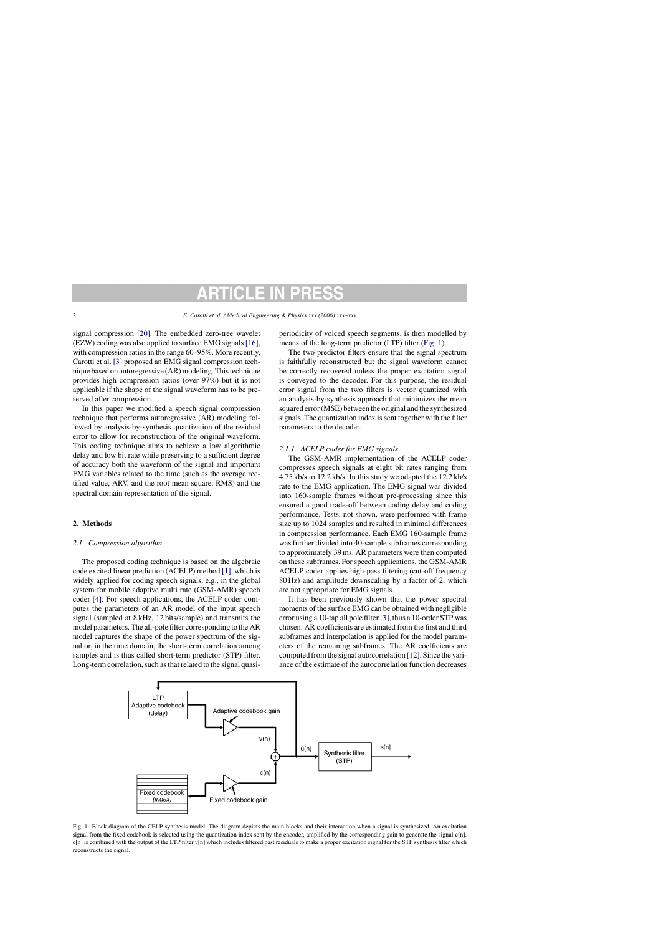signal compression [\[20\].](#page-5-0) The embedded zero-tree wavelet (EZW) coding was also applied to surface EMG signals [\[16\],](#page-5-0) with compression ratios in the range 60–95%. More recently, Carotti et al. [\[3\]](#page-4-0) proposed an EMG signal compression technique based on autoregressive (AR) modeling. This technique provides high compression ratios (over 97%) but it is not applicable if the shape of the signal waveform has to be preserved after compression.

In this paper we modified a speech signal compression technique that performs autoregressive (AR) modeling followed by analysis-by-synthesis quantization of the residual error to allow for reconstruction of the original waveform. This coding technique aims to achieve a low algorithmic delay and low bit rate while preserving to a sufficient degree of accuracy both the waveform of the signal and important EMG variables related to the time (such as the average rectified value, ARV, and the root mean square, RMS) and the spectral domain representation of the signal.

# **2. Methods**

# *2.1. Compression algorithm*

The proposed coding technique is based on the algebraic code excited linear prediction (ACELP) method [\[1\], w](#page-4-0)hich is widely applied for coding speech signals, e.g., in the global system for mobile adaptive multi rate (GSM-AMR) speech coder [\[4\].](#page-4-0) For speech applications, the ACELP coder computes the parameters of an AR model of the input speech signal (sampled at 8 kHz, 12 bits/sample) and transmits the model parameters. The all-pole filter corresponding to the AR model captures the shape of the power spectrum of the signal or, in the time domain, the short-term correlation among samples and is thus called short-term predictor (STP) filter. Long-term correlation, such as that related to the signal quasiperiodicity of voiced speech segments, is then modelled by means of the long-term predictor (LTP) filter (Fig. 1).

The two predictor filters ensure that the signal spectrum is faithfully reconstructed but the signal waveform cannot be correctly recovered unless the proper excitation signal is conveyed to the decoder. For this purpose, the residual error signal from the two filters is vector quantized with an analysis-by-synthesis approach that minimizes the mean squared error (MSE) between the original and the synthesized signals. The quantization index is sent together with the filter parameters to the decoder.

# *2.1.1. ACELP coder for EMG signals*

The GSM-AMR implementation of the ACELP coder compresses speech signals at eight bit rates ranging from 4.75 kb/s to 12.2 kb/s. In this study we adapted the 12.2 kb/s rate to the EMG application. The EMG signal was divided into 160-sample frames without pre-processing since this ensured a good trade-off between coding delay and coding performance. Tests, not shown, were performed with frame size up to 1024 samples and resulted in minimal differences in compression performance. Each EMG 160-sample frame was further divided into 40-sample subframes corresponding to approximately 39 ms. AR parameters were then computed on these subframes. For speech applications, the GSM-AMR ACELP coder applies high-pass filtering (cut-off frequency 80 Hz) and amplitude downscaling by a factor of 2, which are not appropriate for EMG signals.

It has been previously shown that the power spectral moments of the surface EMG can be obtained with negligible error using a 10-tap all pole filter [\[3\], t](#page-4-0)hus a 10-order STP was chosen. AR coefficients are estimated from the first and third subframes and interpolation is applied for the model parameters of the remaining subframes. The AR coefficients are computed from the signal autocorrelation [\[12\]. S](#page-4-0)ince the variance of the estimate of the autocorrelation function decreases



Fig. 1. Block diagram of the CELP synthesis model. The diagram depicts the main blocks and their interaction when a signal is synthesized. An excitation signal from the fixed codebook is selected using the quantization index sent by the encoder, amplified by the corresponding gain to generate the signal c[n]. c[n] is combined with the output of the LTP filter v[n] which includes filtered past residuals to make a proper excitation signal for the STP synthesis filter which reconstructs the signal.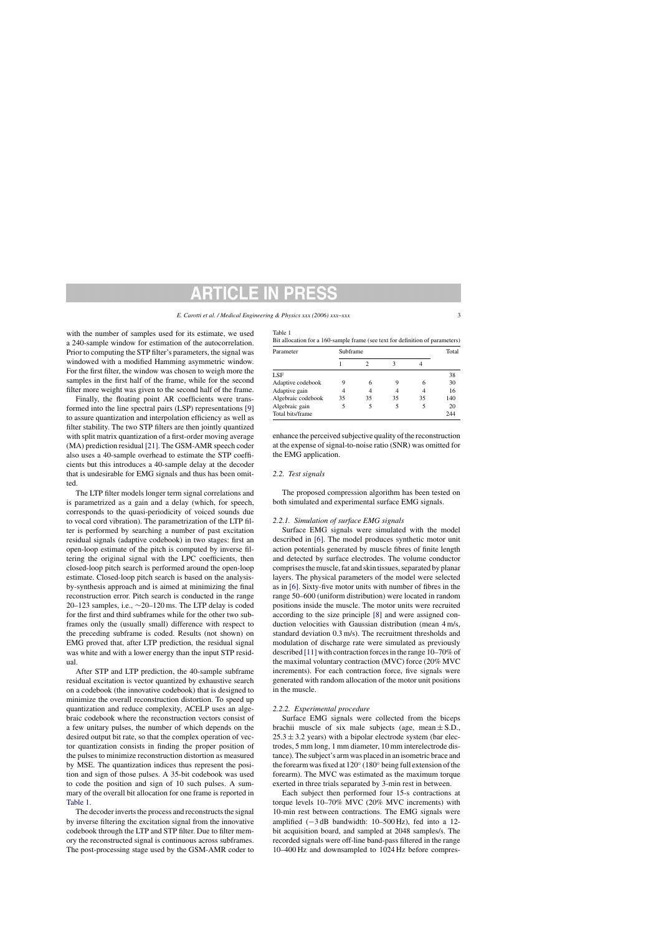Table 1

with the number of samples used for its estimate, we used a 240-sample window for estimation of the autocorrelation. Prior to computing the STP filter's parameters, the signal was windowed with a modified Hamming asymmetric window. For the first filter, the window was chosen to weigh more the samples in the first half of the frame, while for the second filter more weight was given to the second half of the frame.

Finally, the floating point AR coefficients were transformed into the line spectral pairs (LSP) representations [\[9\]](#page-4-0) to assure quantization and interpolation efficiency as well as filter stability. The two STP filters are then jointly quantized with split matrix quantization of a first-order moving average (MA) prediction residual [\[21\]. T](#page-5-0)he GSM-AMR speech coder also uses a 40-sample overhead to estimate the STP coefficients but this introduces a 40-sample delay at the decoder that is undesirable for EMG signals and thus has been omitted.

The LTP filter models longer term signal correlations and is parametrized as a gain and a delay (which, for speech, corresponds to the quasi-periodicity of voiced sounds due to vocal cord vibration). The parametrization of the LTP filter is performed by searching a number of past excitation residual signals (adaptive codebook) in two stages: first an open-loop estimate of the pitch is computed by inverse filtering the original signal with the LPC coefficients, then closed-loop pitch search is performed around the open-loop estimate. Closed-loop pitch search is based on the analysisby-synthesis approach and is aimed at minimizing the final reconstruction error. Pitch search is conducted in the range 20–123 samples, i.e., ∼20–120 ms. The LTP delay is coded for the first and third subframes while for the other two subframes only the (usually small) difference with respect to the preceding subframe is coded. Results (not shown) on EMG proved that, after LTP prediction, the residual signal was white and with a lower energy than the input STP residual.

After STP and LTP prediction, the 40-sample subframe residual excitation is vector quantized by exhaustive search on a codebook (the innovative codebook) that is designed to minimize the overall reconstruction distortion. To speed up quantization and reduce complexity, ACELP uses an algebraic codebook where the reconstruction vectors consist of a few unitary pulses, the number of which depends on the desired output bit rate, so that the complex operation of vector quantization consists in finding the proper position of the pulses to minimize reconstruction distortion as measured by MSE. The quantization indices thus represent the position and sign of those pulses. A 35-bit codebook was used to code the position and sign of 10 such pulses. A summary of the overall bit allocation for one frame is reported in Table 1.

The decoder inverts the process and reconstructs the signal by inverse filtering the excitation signal from the innovative codebook through the LTP and STP filter. Due to filter memory the reconstructed signal is continuous across subframes. The post-processing stage used by the GSM-AMR coder to

| ble 1 |  |
|-------|--|
|-------|--|

| Bit allocation for a 160-sample frame (see text for definition of parameters) |  |  |
|-------------------------------------------------------------------------------|--|--|
|-------------------------------------------------------------------------------|--|--|

|    | Total |          |    |     |
|----|-------|----------|----|-----|
|    |       |          |    |     |
|    |       |          |    | 38  |
| 9  | 6     |          | 6  | 30  |
|    |       |          |    | 16  |
| 35 | 35    | 35       | 35 | 140 |
|    | 5     |          |    | 20  |
|    |       |          |    | 244 |
|    |       | Subframe |    |     |

enhance the perceived subjective quality of the reconstruction at the expense of signal-to-noise ratio (SNR) was omitted for the EMG application.

# *2.2. Test signals*

The proposed compression algorithm has been tested on both simulated and experimental surface EMG signals.

## *2.2.1. Simulation of surface EMG signals*

Surface EMG signals were simulated with the model described in [\[6\].](#page-4-0) The model produces synthetic motor unit action potentials generated by muscle fibres of finite length and detected by surface electrodes. The volume conductor comprises the muscle, fat and skin tissues, separated by planar layers. The physical parameters of the model were selected as in [\[6\].](#page-4-0) Sixty-five motor units with number of fibres in the range 50–600 (uniform distribution) were located in random positions inside the muscle. The motor units were recruited according to the size principle [\[8\]](#page-4-0) and were assigned conduction velocities with Gaussian distribution (mean 4 m/s, standard deviation 0.3 m/s). The recruitment thresholds and modulation of discharge rate were simulated as previously described [\[11\]](#page-4-0) with contraction forces in the range 10–70% of the maximal voluntary contraction (MVC) force (20% MVC increments). For each contraction force, five signals were generated with random allocation of the motor unit positions in the muscle.

# *2.2.2. Experimental procedure*

Surface EMG signals were collected from the biceps brachii muscle of six male subjects (age, mean  $\pm$  S.D.,  $25.3 \pm 3.2$  years) with a bipolar electrode system (bar electrodes, 5 mm long, 1 mm diameter, 10 mm interelectrode distance). The subject's arm was placed in an isometric brace and the forearm was fixed at 120◦ (180◦ being full extension of the forearm). The MVC was estimated as the maximum torque exerted in three trials separated by 3-min rest in between.

Each subject then performed four 15-s contractions at torque levels 10–70% MVC (20% MVC increments) with 10-min rest between contractions. The EMG signals were amplified (−3 dB bandwidth: 10–500 Hz), fed into a 12 bit acquisition board, and sampled at 2048 samples/s. The recorded signals were off-line band-pass filtered in the range 10–400 Hz and downsampled to 1024 Hz before compres-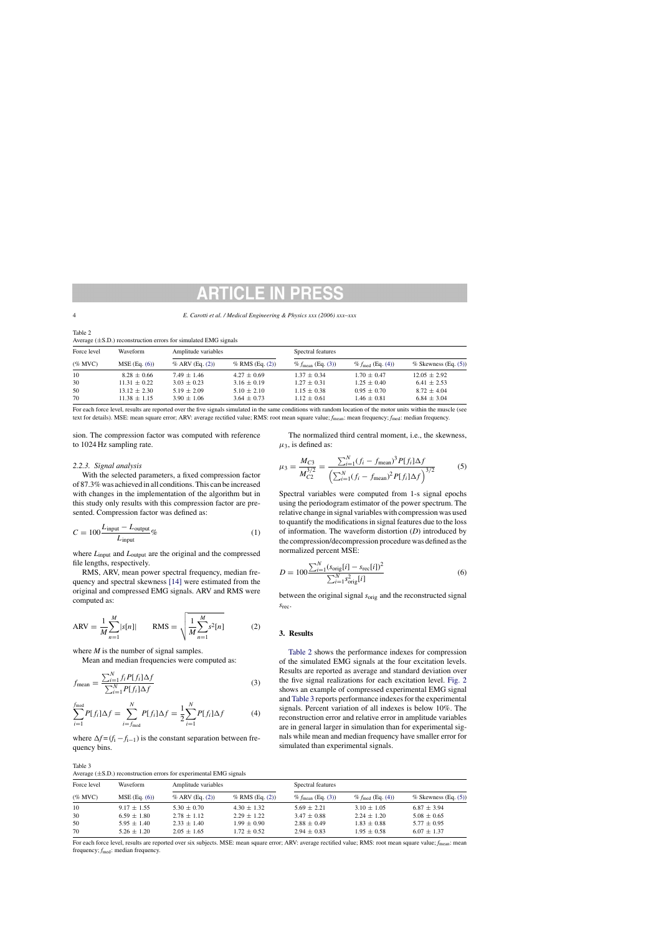### <span id="page-3-0"></span>4 *E. Carotti et al. / Medical Engineering & Physics xxx (2006) xxx–xxx*

| Table 2                                                              |  |
|----------------------------------------------------------------------|--|
| Average $(\pm S.D.)$ reconstruction errors for simulated EMG signals |  |

| Force level<br>$(\%$ MVC) | Waveform<br>$MSE$ (Eq. $(6)$ ) | $P_{\text{V}}$ (20.10) reconstruction criots for simulated ENTO signals<br>Amplitude variables |                   | Spectral features             |                              |                           |
|---------------------------|--------------------------------|------------------------------------------------------------------------------------------------|-------------------|-------------------------------|------------------------------|---------------------------|
|                           |                                | $%$ ARV (Eq. (2))                                                                              | $%$ RMS (Eq. (2)) | % $f_{\text{mean}}$ (Eq. (3)) | % $f_{\text{med}}$ (Eq. (4)) | $%$ Skewness (Eq. $(5)$ ) |
| 10                        | $8.28 \pm 0.66$                | $7.49 \pm 1.46$                                                                                | $4.27 \pm 0.69$   | $1.37 \pm 0.34$               | $1.70 \pm 0.47$              | $12.05 \pm 2.92$          |
| 30                        | $11.31 \pm 0.22$               | $3.03 \pm 0.23$                                                                                | $3.16 \pm 0.19$   | $1.27 \pm 0.31$               | $1.25 \pm 0.40$              | $6.41 \pm 2.53$           |
| 50                        | $13.12 \pm 2.30$               | $5.19 \pm 2.09$                                                                                | $5.10 \pm 2.10$   | $1.15 \pm 0.38$               | $0.95 \pm 0.70$              | $8.72 \pm 4.04$           |
| 70                        | $11.38 \pm 1.15$               | $3.90 \pm 1.06$                                                                                | $3.64 \pm 0.73$   | $1.12 \pm 0.61$               | $1.46 \pm 0.81$              | $6.84 \pm 3.04$           |

For each force level, results are reported over the five signals simulated in the same conditions with random location of the motor units within the muscle (see text for details). MSE: mean square error; ARV: average rectified value; RMS: root mean square value; *f*mean: mean frequency; *f*med: median frequency.

sion. The compression factor was computed with reference to 1024 Hz sampling rate.

# *2.2.3. Signal analysis*

With the selected parameters, a fixed compression factor of 87.3% was achieved in all conditions. This can be increased with changes in the implementation of the algorithm but in this study only results with this compression factor are presented. Compression factor was defined as:

$$
C = 100 \frac{L_{\text{input}} - L_{\text{output}}}{L_{\text{input}}}\%
$$
 (1)

where  $L_{input}$  and  $L_{output}$  are the original and the compressed file lengths, respectively.

RMS, ARV, mean power spectral frequency, median frequency and spectral skewness [\[14\]](#page-4-0) were estimated from the original and compressed EMG signals. ARV and RMS were computed as:

$$
ARV = \frac{1}{M} \sum_{n=1}^{M} |s[n]| \qquad RMS = \sqrt{\frac{1}{M} \sum_{n=1}^{M} s^{2}[n]}
$$
 (2)

where *M* is the number of signal samples.

Mean and median frequencies were computed as:

$$
f_{\text{mean}} = \frac{\sum_{i=1}^{N} f_i P[f_i] \Delta f}{\sum_{i=1}^{N} P[f_i] \Delta f}
$$
(3)

$$
\sum_{i=1}^{f_{\text{med}}} P[f_i] \Delta f = \sum_{i=f_{\text{med}}}^{N} P[f_i] \Delta f = \frac{1}{2} \sum_{i=1}^{N} P[f_i] \Delta f \tag{4}
$$

where  $\Delta f = (f_i - f_{i-1})$  is the constant separation between frequency bins.

Table 3 Average  $(\pm S.D.)$  reconstruction errors for experimental EMG signals

The normalized third central moment, i.e., the skewness,  $\mu_3$ , is defined as:

$$
\mu_3 = \frac{M_{C3}}{M_{C2}^{3/2}} = \frac{\sum_{i=1}^{N} (f_i - f_{\text{mean}})^3 P[f_i] \Delta f}{\left(\sum_{i=1}^{N} (f_i - f_{\text{mean}})^2 P[f_i] \Delta f\right)^{3/2}}
$$
(5)

Spectral variables were computed from 1-s signal epochs using the periodogram estimator of the power spectrum. The relative change in signal variables with compression was used to quantify the modifications in signal features due to the loss of information. The waveform distortion (*D*) introduced by the compression/decompression procedure was defined as the normalized percent MSE:

$$
D = 100 \frac{\sum_{i=1}^{N} (s_{\text{orig}}[i] - s_{\text{rec}}[i])^2}{\sum_{i=1}^{N} s_{\text{orig}}^2[i]}
$$
 (6)

between the original signal *s*orig and the reconstructed signal *s*rec.

# **3. Results**

Table 2 shows the performance indexes for compression of the simulated EMG signals at the four excitation levels. Results are reported as average and standard deviation over the five signal realizations for each excitation level. [Fig. 2](#page-4-0) shows an example of compressed experimental EMG signal and Table 3 reports performance indexes for the experimental signals. Percent variation of all indexes is below 10%. The reconstruction error and relative error in amplitude variables are in general larger in simulation than for experimental signals while mean and median frequency have smaller error for simulated than experimental signals.

| Force level<br>$(\%$ MVC) | Waveform<br>$MSE$ (Eq. $(6)$ ) | Amplitude variables |                   | Spectral features             |                              |                           |
|---------------------------|--------------------------------|---------------------|-------------------|-------------------------------|------------------------------|---------------------------|
|                           |                                | $% ARV$ (Eq. (2))   | $%$ RMS (Eq. (2)) | % $f_{\text{mean}}$ (Eq. (3)) | % $f_{\text{med}}$ (Eq. (4)) | $%$ Skewness (Eq. $(5)$ ) |
| 10                        | $9.17 \pm 1.55$                | $5.30 \pm 0.70$     | $4.30 \pm 1.32$   | $5.69 \pm 2.21$               | $3.10 \pm 1.05$              | $6.87 \pm 3.94$           |
| 30                        | $6.59 \pm 1.80$                | $2.78 \pm 1.12$     | $2.29 \pm 1.22$   | $3.47 \pm 0.88$               | $2.24 \pm 1.20$              | $5.08 \pm 0.65$           |
| 50                        | $5.95 \pm 1.40$                | $2.33 \pm 1.40$     | $1.99 \pm 0.90$   | $2.88 \pm 0.49$               | $1.83 \pm 0.88$              | $5.77 \pm 0.95$           |
| 70                        | $5.26 \pm 1.20$                | $2.05 \pm 1.65$     | $1.72 \pm 0.52$   | $2.94 \pm 0.83$               | $1.95 \pm 0.58$              | $6.07 \pm 1.37$           |

For each force level, results are reported over six subjects. MSE: mean square error; ARV: average rectified value; RMS: root mean square value;  $f_{\text{mean}}$ : mean frequency;  $f_{\text{med}}$ : median frequency.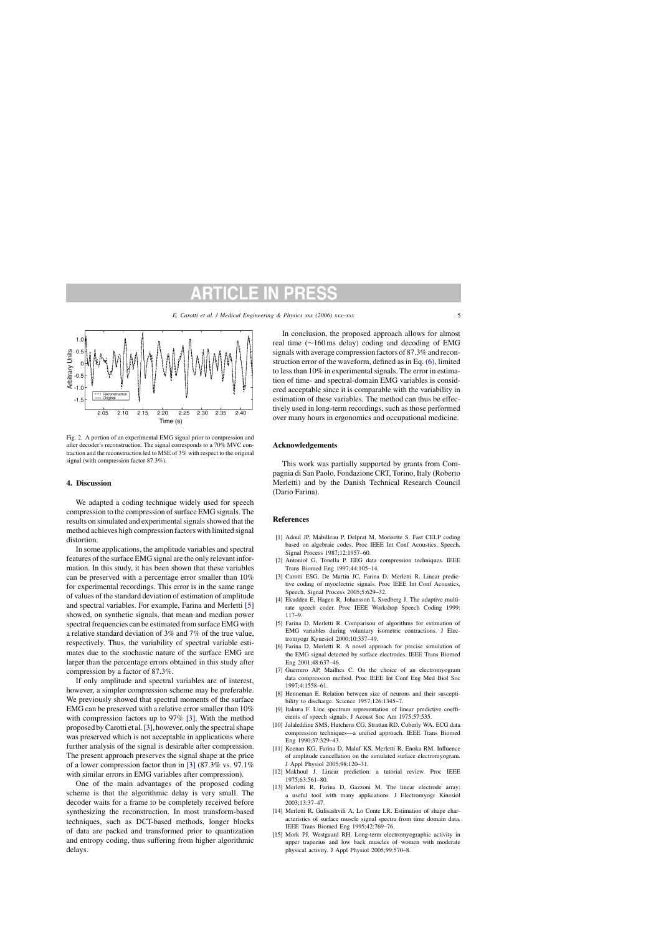<span id="page-4-0"></span>

Fig. 2. A portion of an experimental EMG signal prior to compression and after decoder's reconstruction. The signal corresponds to a 70% MVC contraction and the reconstruction led to MSE of 3% with respect to the original signal (with compression factor 87.3%).

# **4. Discussion**

We adapted a coding technique widely used for speech compression to the compression of surface EMG signals. The results on simulated and experimental signals showed that the method achieves high compression factors with limited signal distortion.

In some applications, the amplitude variables and spectral features of the surface EMG signal are the only relevant information. In this study, it has been shown that these variables can be preserved with a percentage error smaller than 10% for experimental recordings. This error is in the same range of values of the standard deviation of estimation of amplitude and spectral variables. For example, Farina and Merletti [5] showed, on synthetic signals, that mean and median power spectral frequencies can be estimated from surface EMG with a relative standard deviation of 3% and 7% of the true value, respectively. Thus, the variability of spectral variable estimates due to the stochastic nature of the surface EMG are larger than the percentage errors obtained in this study after compression by a factor of 87.3%.

If only amplitude and spectral variables are of interest, however, a simpler compression scheme may be preferable. We previously showed that spectral moments of the surface EMG can be preserved with a relative error smaller than 10% with compression factors up to 97% [3]. With the method proposed by Carotti et al.[3], however, only the spectral shape was preserved which is not acceptable in applications where further analysis of the signal is desirable after compression. The present approach preserves the signal shape at the price of a lower compression factor than in [3] (87.3% vs. 97.1% with similar errors in EMG variables after compression).

One of the main advantages of the proposed coding scheme is that the algorithmic delay is very small. The decoder waits for a frame to be completely received before synthesizing the reconstruction. In most transform-based techniques, such as DCT-based methods, longer blocks of data are packed and transformed prior to quantization and entropy coding, thus suffering from higher algorithmic delays.

In conclusion, the proposed approach allows for almost real time (∼160 ms delay) coding and decoding of EMG signals with average compression factors of 87.3% and reconstruction error of the waveform, defined as in Eq. [\(6\), l](#page-3-0)imited to less than 10% in experimental signals. The error in estimation of time- and spectral-domain EMG variables is considered acceptable since it is comparable with the variability in estimation of these variables. The method can thus be effectively used in long-term recordings, such as those performed over many hours in ergonomics and occupational medicine.

# **Acknowledgements**

This work was partially supported by grants from Compagnia di San Paolo, Fondazione CRT, Torino, Italy (Roberto Merletti) and by the Danish Technical Research Council (Dario Farina).

### **References**

- [1] Adoul JP, Mabilleau P, Delprat M, Morisette S. Fast CELP coding based on algebraic codes. Proc IEEE Int Conf Acoustics, Speech, Signal Process 1987;12:1957–60.
- [2] Antoniol G, Tonella P. EEG data compression techniques. IEEE Trans Biomed Eng 1997;44:105–14.
- [3] Carotti ESG, De Martin JC, Farina D, Merletti R. Linear predictive coding of myoelectric signals. Proc IEEE Int Conf Acoustics, Speech, Signal Process 2005;5:629–32.
- [4] Ekudden E, Hagen R, Johansson I, Svedberg J. The adaptive multirate speech coder. Proc IEEE Workshop Speech Coding 1999: 117–9.
- [5] Farina D, Merletti R. Comparison of algorithms for estimation of EMG variables during voluntary isometric contractions. J Electromyogr Kynesiol 2000;10:337–49.
- [6] Farina D, Merletti R. A novel approach for precise simulation of the EMG signal detected by surface electrodes. IEEE Trans Biomed Eng 2001;48:637–46.
- [7] Guerrero AP, Mailhes C. On the choice of an electromyogram data compression method. Proc IEEE Int Conf Eng Med Biol Soc 1997;4:1558–61.
- [8] Henneman E. Relation between size of neurons and their susceptibility to discharge. Science 1957;126:1345–7.
- [9] Itakura F. Line spectrum representation of linear predictive coefficients of speech signals. J Acoust Soc Am 1975;57:535.
- [10] Jalaleddine SMS, Hutchens CG, Strattan RD, Coberly WA. ECG data compression techniques—a unified approach. IEEE Trans Biomed Eng 1990;37:329–43.
- [11] Keenan KG, Farina D, Maluf KS, Merletti R, Enoka RM. Influence of amplitude cancellation on the simulated surface electromyogram. J Appl Physiol 2005;98:120–31.
- [12] Makhoul J. Linear prediction: a tutorial review. Proc IEEE 1975;63:561–80.
- [13] Merletti R, Farina D, Gazzoni M. The linear electrode array: a useful tool with many applications. J Electromyogr Kinesiol 2003;13:37–47.
- [14] Merletti R, Gulisashvili A, Lo Conte LR. Estimation of shape characteristics of surface muscle signal spectra from time domain data. IEEE Trans Biomed Eng 1995;42:769–76.
- [15] Mork PJ, Westgaard RH. Long-term electromyographic activity in upper trapezius and low back muscles of women with moderate physical activity. J Appl Physiol 2005;99:570–8.